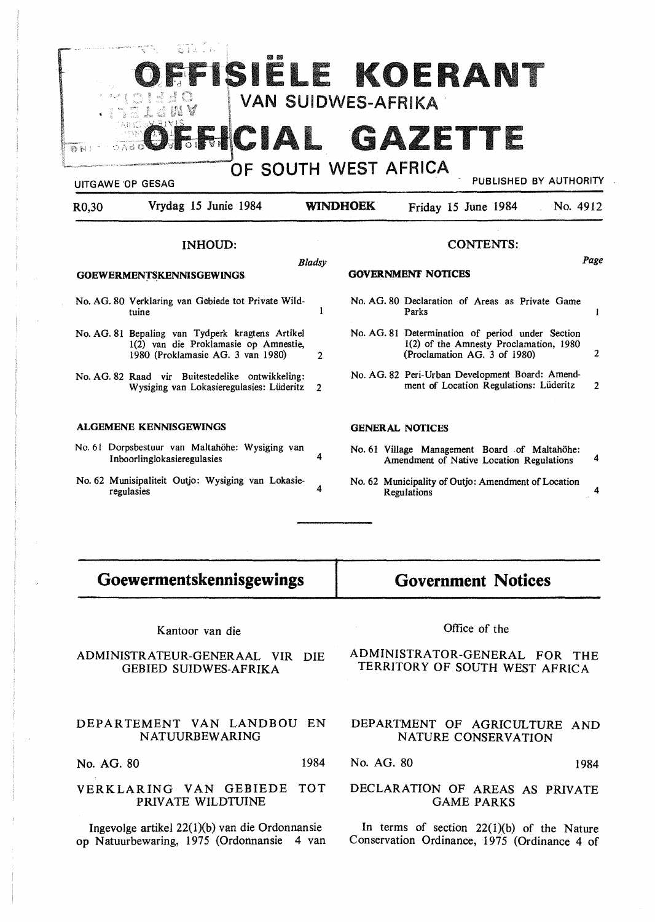

- No. 61 Dorpsbestuur van Maltahöhe: Wysiging van Inboorlinglokasieregulasies
- No. 62 Munisipaliteit Outjo: Wysiging van Lokasieregulasies 4

# **Government Notices**

No. 62 Municipality of Outjo: Amendment of Location

Amendment of Native Location Regulations 4

Regulations 4

### Kantoor van die

**Goewermentskennisgewings** 

# ADMINISTRATEUR-GENERAAL VIR DIE GEBIED SUIDWES-AFRIKA

## DEPARTEMENT VAN LANDBOU EN NATUURBEWARING

No. AG. 80 1984

#### VERKLARING VAN GEBIEDE TOT PRIVATE WILDTUINE

Ingevolge artikel  $22(1)(b)$  van die Ordonnansie op Natuurbewaring, 1975 (Ordonnansie 4 van Office of the

# ADMINISTRATOR-GENERAL FOR THE TERRITORY OF SOUTH WEST AFRICA

# DEPARTMENT OF AGRICULTURE AND NATURE CONSERVATION

No. AG. 80 1984

### DECLARATION OF AREAS AS PRIVATE GAME PARKS

In terms of section  $22(1)(b)$  of the Nature Conservation Ordinance, 1975 (Ordinance 4 of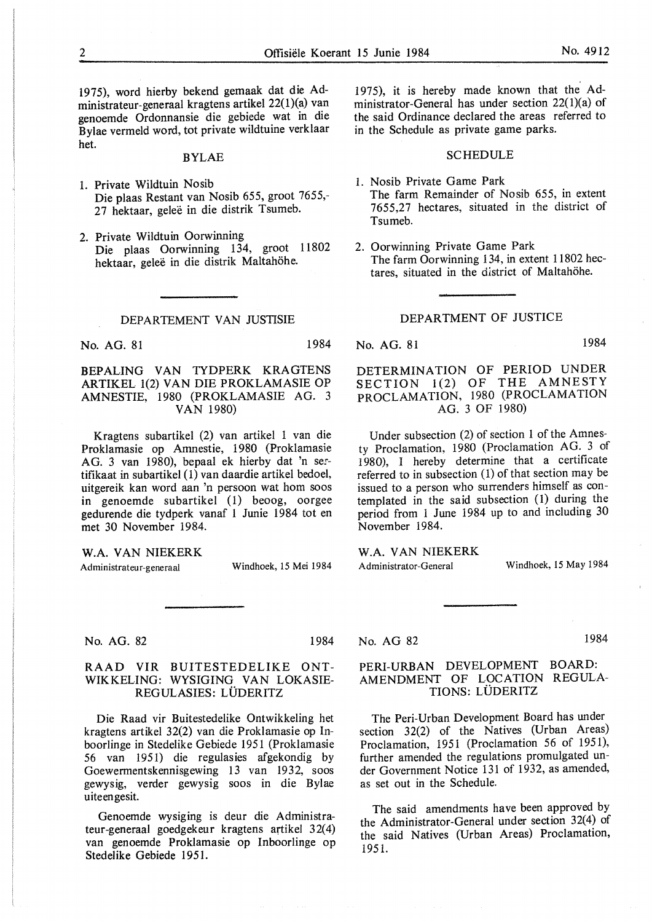1975), word hierby bekend gemaak dat die Administrateur-generaal kragtens artikel 22(1)(a) van genoemde Ordonnansie die gebiede wat in die Bylae vermeld word, tot private wildtuine verklaar het.

#### BYLAE

- 1. Private Wildtuin Nosib Die plaas Restant van Nosib 655, groot 7655,- 27 hektaar, geleë in die distrik Tsumeb.
- 2. Private Wildtuin Oorwinning Die plaas Oorwinning 134, groot 11802 hektaar, geleë in die distrik Maltahöhe.

#### DEPARTEMENT VAN JUSTISIE

No. AG. 81 1984

BEPALING VAN TYDPERK KRAGTENS ARTIKEL 1(2) VAN DIE PROKLAMASIE OP AMNESTIE, 1980 (PROKLAMASIE AG. 3 VAN 1980)

Kragtens subartikel (2) van artikel 1 van die Proklamasie op Amnestie, 1980 (Proklamasie AG. 3 van 1980), bepaal ek hierby dat 'n sertifikaat in subartikel  $(1)$  van daardie artikel bedoel, uitgereik kan word aan 'n persoon wat horn soos in genoemde subartikel (1) beoog, oorgee gedurende die tydperk vanaf 1 Junie 1984 tot en met 30 November 1984.

**W.A. VAN NIEKERK** 

Administrateur-generaal

Windhoek, 15 Mei 1984

1984

No. AG. 82

### RAAD VIR BUITESTEDELIKE ONT-WIKKELING: WYSIGING VAN LOKASIE-REGULASIES: LÜDERITZ

Die Raad vir Buitestedelike Ontwikkeling het kragtens artikel 32(2) van die Proklamasie op Inboorlinge in Stedelike Gebiede 1951 (Proklamasie 56 van 1951) die regulasies afgekondig by Goewermentskennisgewing 13 van 1932, soos gewysig, verder gewysig soos in die Bylae uiteengesit.

Genoemde wysiging is deur die Administrateur-generaal goedgekeur kragtens artikel 32(4) van genoemde Proklamasie op Inboorlinge op Stedelike Gebiede 1951.

1975), it is hereby made known that the Administrator-General has under section 22(1)(a) of the said Ordinance declared the areas referred to in the Schedule as private game parks.

# **SCHEDULE**

- 1. Nosib Private Game Park The farm Remainder of Nosib 655, in extent 7655,27 hectares, situated in the district of Tsumeb.
- 2. Oorwinning Private Game Park The farm Oorwinning 134, in extent 11802 hectares, situated in the district of Maltahöhe.

# DEPARTMENT OF JUSTICE

No. AG. 81 1984

DETERMINATION OF PERIOD UNDER SECTION 1(2) OF THE AMNESTY PROCLAMATION, 1980 (PROCLAMATION AG. 3 OF 1980)

Under subsection (2) of section 1 of the Amnesty Proclamation, 1980 (Proclamation AG. 3 of 1980), I hereby determine that a certificate referred to in subsection (1) of that section may be issued to a person who surrenders himself as contemplated in the said subsection (1) during the period from 1 June 1984 up to and including 30 November 1984.

**W.A. VAN NIEKERK**  Administrator-General

Windhoek, 15 May 1984

### No. AG 82

1984

# PERI-URBAN DEVELOPMENT BOARD: AMENDMENT OF LOCATION REGULA-TIONS: LUDERITZ

The Peri-Urban Development Board has under section 32(2) of the Natives (Urban Areas) Proclamation, 1951 (Proclamation 56 of 1951), further amended the regulations promulgated under Government Notice 131 of 1932, as amended, as set out in the Schedule.

The said amendments have been approved by the Administrator-General under section 32(4) of the said Natives (Urban Areas) Proclamation, 1951.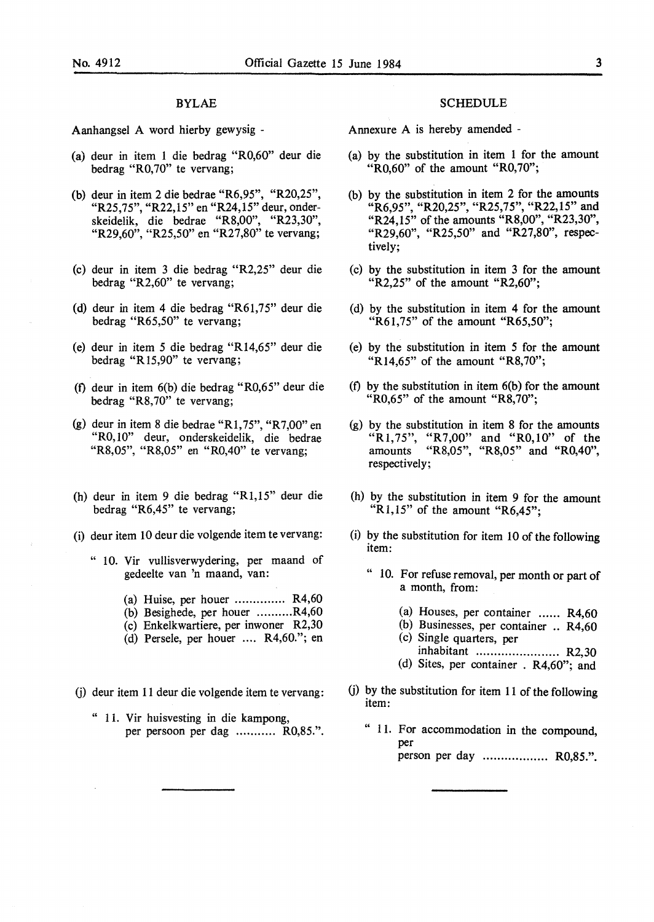#### BYLAE

Aanhangsel A word hierby gewysig -

- (a) deur in item 1 die bedrag "R0,60" deur die bedrag "R0,70" te vervang;
- (b) deur in item 2 die bedrae "R6,95", "R20,25", "R25,75", "R22,15" en "R24,15" deur, onderskeidelik, die bedrae "R8,00", "R23,30", "R29,60", "R25,50" en "R27,80" te vervang;
- (c) deur in item 3 die bedrag "R2,25" deur die bedrag "R2,60" te vervang;
- (d) deur in item 4 die bedrag "R61,75" deur die bedrag "R65,50" te vervang;
- (e) deur in item 5 die bedrag "R14,65" deur die bedrag "Rl5,90" te vervang;
- (t) deur in item 6(b) die bedrag "R0,65" deur die bedrag "R8,70" te vervang;
- (g) deur in item 8 die bedrae "Rl,75", "R7,00" en "R0,10" deur, onderskeidelik, die bedrae "R8,05", "R8,05" en "R0,40" te vervang;
- (h) deur in item 9 die bedrag "Rl,15" deur die bedrag "R6,45" te vervang;
- (i) deur item 10 deur die volgende item te vervang:
	- " 10. Vir vullisverwydering, per maand of gedeelte van 'n maand, van:
		- (a) Huise, per houer  $\ldots$ ............... R4,60
		- (b) Besighede, per houer .......... R4,60
		- (c) Enkelkwartiere, per inwoner R2,30
		- (d) Persele, per houer .... R4,60."; en
- G) deur item 11 deur die volgende item te vervang:
	- " 11. Vir huisvesting in die kampong, per persoon per dag ........... R0,85.".

#### **SCHEDULE**

Annexure A is hereby amended -

- (a) by the substitution in item 1 for the amount " $R0,60$ " of the amount " $R0,70$ ";
- (b) by the substitution in item 2 for the amounts "R6,95", "R20,25", "R25,75", "R22,15" and "R24,15" of the amounts "R8,00", "R23,30", "R29,60", "R25,50" and "R27,80", respectively;
- (c) by the substitution in item 3 for the amount "R2,25" of the amount "R2,60";
- (d) by the substitution in item 4 for the amount "R61,75" of the amount "R65,50";
- (e) by the substitution in item 5 for the amount "Rl4,65" of the amount "R8,70";
- (f) by the substitution in item  $6(b)$  for the amount " $R0,65$ " of the amount " $R8,70$ ";
- (g) by the substitution in item 8 for the amounts "R1,75", "R7,00" and "R0,10" of the amounts "R8,05", "R8,05" and "R0,40", respectively;
- (h) by the substitution in item 9 for the amount " $R1,15$ " of the amount " $R6,45$ ";
- (i) by the substitution for item 10 of the following item:
	- " 10. For refuse removal, per month or part of a month, from:
		- (a) Houses, per container  $\dots$  R4,60
		- (b) Businesses, per container .. R4,60 (c) Single quarters, per
		- inhabitant ....................... R2,30
		- (d) Sites, per container . R4,60"; and
- $(i)$  by the substitution for item 11 of the following item:
	- " 11. For accommodation in the compound, per person per day .................. **R0,85.".**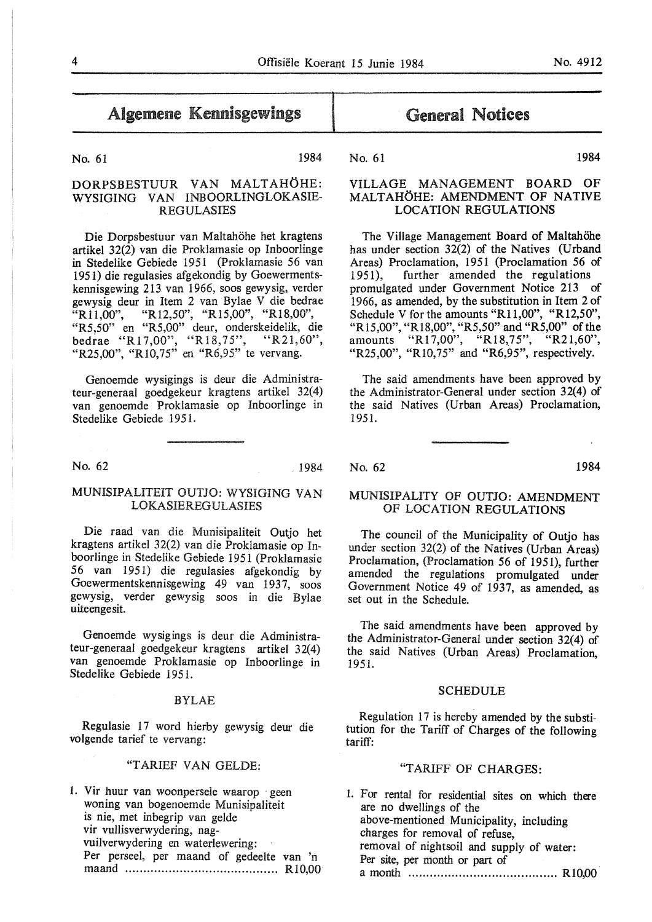# Algemene Kennisgewings

No. 61 1984

# DORPSBESTUUR VAN MALTAHOHE: WYSIGING VAN INBOORLINGLOKASIE-REGULASIES

Die Dorpsbestuur van Maltahöhe het kragtens artikel 32(2) van die Proklamasie op Inboorlinge in Stedelike Gebiede 1951 (Proklamasie 56 van 1951) die regulasies afgekondig by Goewermentskennisgewing 213 van 1966, soos gewysig, verder gewysig deur in Item 2 van Bylae V die bedrae "Rll,00", "Rl2,50", "R15,00", "R18,00", "R5,50" en "R5,00" deur, onderskeidelik, die bedrae "Rl7,00", "R18,75", "R21,60", "R25,00", "Rl0,75" en "R6,95" te vervang.

Genoemde wysigings is deur die Administrateur-generaal goedgekeur kragtens artikel 32(4) van genoemde Proklamasie op Inboorlinge in Stedelike Gebiede 1951.

No. 62 1984

## MUNISIPALITEIT OUTJO: WYSIGING VAN LOKASIEREGULASIES

Die raad van die Munisipaliteit Outjo het kragtens artikel 32(2) van die Proklamasie op Inboorlinge in Stedelike Gebiede 1951 (Proklamasie 56 van 1951) die regulasies afgekondig by Goewermentskennisgewing 49 van 1937, soos gewysig, verder gewysig soos in die Bylae uiteengesit.

Genoemde wysigings is deur die Administrateur-generaal goedgekeur kragtens artikel 32(4) van genoemde Proklamasie op Inboorlinge in Stedelike Gebiede 1951.

#### BYLAE

Regulasie 17 word hierby gewysig deur die volgende tarief te vervang:

# "T ARIEF VAN GELDE:

1. Vir huur van woonpersele waarop · geen woning van bogenoemde Munisipaliteit is nie, met inbegrip van gelde vir vullisverwydering, nagvuilverwydering en waterlewering: Per perseel, per maand of gedeelte van 'n maand .......................................... Rl0,00·

# General Notices

No. 61 1984

# VILLAGE MANAGEMENT BOARD OF MALTAHÖHE: AMENDMENT OF NATIVE LOCATION REGULATIONS

The Village Management Board of Maltahöhe has under section 32(2) of the Natives (Urband Areas) Proclamation, 1951 (Proclamation 56 of 1951), further amended the regulations promulgated under Government Notice 213 of 1966, as amended, by the substitution in Item 2 of Schedule V for the amounts "R11,00", "R12,50", "Rl5,00", "R18,00", "RS,50" and "R5,00" of the amounts "R17,00", "R18,75", "R21,60", "R25,00", "Rl0,75" and "R6,95", respectively.

The said amendments have been approved by the Administrator-General under section 32(4) of the said Natives (Urban Areas) Proclamation, 1951.

No. 62 1984

# MUNISIPALITY OF OUTJO: AMENDMENT OF LOCATION REGULATIONS

The council of the Municipality of Outio has under section 32(2) of the Natives (Urban Areas) Proclamation, (Proclamation 56 of 1951), further amended the regulations promulgated under Government Notice 49 of 1937, as amended, as set out in the Schedule.

The said amendments have been approved by the Administrator-General under section 32(4) of the said Natives (Urban Areas) Proclamation, 1951.

#### SCHEDULE

Regulation 17 is hereby amended by the substitution for the Tariff of Charges of the following tariff:

### "TARIFF OF CHARGES:

1. For rental for residential sites on which there are no dwellings of the above-mentioned Municipality, including charges for removal of refuse, removal of nightsoil and supply of water: Per site, per month or part of a month ......................................... Rl0,00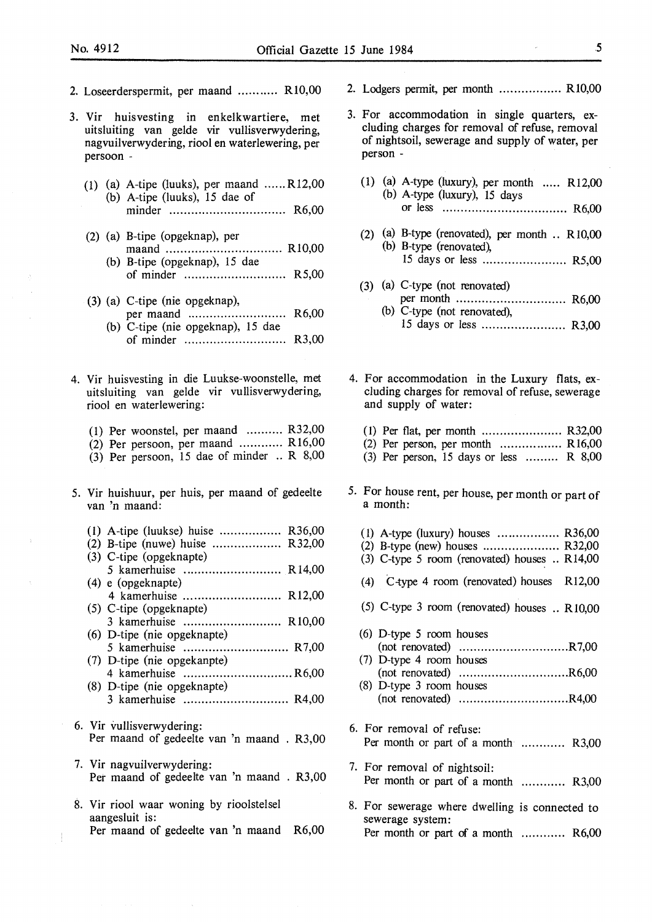- 2. Loseerderspermit, per maand ........... Rl0,00
- 3. Vir huisvesting in enkelkwartiere, met uitsluiting van gelde vir vullisverwydering, nagvuilverwydering, riool en waterlewering, per persoon -
	- (1) (a) A-tipe (luuks), per maand ...... R12,00 (b) A-tipe (luuks), 15 dae of minder . . . . . . . . . . . . . . . . . . . . . . . . . . . . . . . . R6,00
	- (2) (a) B-tipe (opgeknap), per ma and ................................ Rl 0,00 (b) B-tipe (opgeknap), 15 dae of minder ............................ R5,00
	- (3) (a) C-tipe (nie opgeknap), per maand .. . . . . . . . . . . . . . . . . . . . . . . . . . R6,00 (b) C-tipe (nie opgeknap), 15 dae
		- of minder ............................ R3,00
- 4. Vir huisvesting in die Luukse-woonstelle, met uitsluiting van gelde vir vullisverwydering, riool en waterlewering:
	- (1) Per woonstel, per maand .......... R32,00
	- (2) Per persoon, per maand ............ Rl6,00
	- (3) Per persoon, 15 dae of minder .. R 8,00
- 5. Vir huishuur, per huis, per maand of gedeelte van 'n maand:
	- (1) A-tipe (Iuukse) huise ................. R36,00
	- (2) B-tipe (nuwe) huise ........................  $R32,00$
	- (3) C-tipe (opgeknapte) 5 kamerhuise ........................... R 14,00 (4) e (opgeknapte)
	- 4 kamerhuise ........................... Rl2,00 (5) C-tipe (opgeknapte)
	- 3 kamerhuise ........................... Rl0,00 (6) D-tipe (nie opgeknapte)
	- 5 kamerhuise ............................. R7,00 (7) D-tipe (nie opgekanpte)
	- 4 kamerhuise .............................. R6,00 (8) D-tipe (nie opgeknapte)
	- 3 kamerhuise ............................. R4,00
- 6. Vir vullisverwydering: Per maand of gedeelte van 'n maand . R3,00
- 7. Vir nagvuilverwydering: Per maand of gedeelte van 'n maand . R3,00
- 8. Vir riool waar woning by rioolstelsel aangesluit is: Per maand of gedeelte van 'n maand R6,00

ļ

- 2. Lodgers permit, per month ................. Rl0,00
- 3. For accommodation in single quarters, excluding charges for removal of refuse, removal of nightsoil, sewerage and supply of water, per person -
	- (1) (a) A-type (luxury), per month ..... Rl2,00 (b) A-type (luxury), 15 days or less . . . . . . . . . . . . . . . . . . . . . . . . . . . . . . . . . . R6,00
	- (2) (a) B-type (renovated), per month .. RI0,00  $(b)$  B-type (renovated), 15 days or less ........................ R5,00
	- (3) (a) C-type (not renovated) per month . . . . . . . . . . . . . . . . . . . . . . . . . . . . . . R6,00 (b) C-type (not renovated), 15 days or less ......................... R3,00
- 4. For accommodation in the Luxury flats, excluding charges for removal of refuse, sewerage and supply of water:
	- (I) Per flat, per month ...................... R32,00
	- (2) Per person, per month  $\dots\dots\dots\dots\dots$  R  $16,00$
	- (3) Per person, 15 days or less ......... **R** 8,00
- 5. For house rent, per house, per month or part of a month:
	- (1) A-type (luxury) houses ................. R36,00 (2) B-type (new) houses ..................... R32,00
	- (3) C-type 5 room (renovated) houses .. Rl4,00
	- (4) C-type 4 room (renovated) houses Rl2,00
	- (5) C-type 3 room (renovated) houses .. RI0,00
	- (6) D-type 5 room houses (not renovated) .............................. R 7,00 (7) D-type 4 room houses
	- (not renovated) .............................. R6,00 (8) D-type 3 room houses (not renovated) .............................. R4,00
- 6. For removal of refuse: Per month or part of a month ............ R3,00
- 7. For removal of nightsoil: Per month or part of a month ............ R3,00
- 8. For sewerage where dwelling is connected to sewerage system: Per month or part of a month ............ R6,00